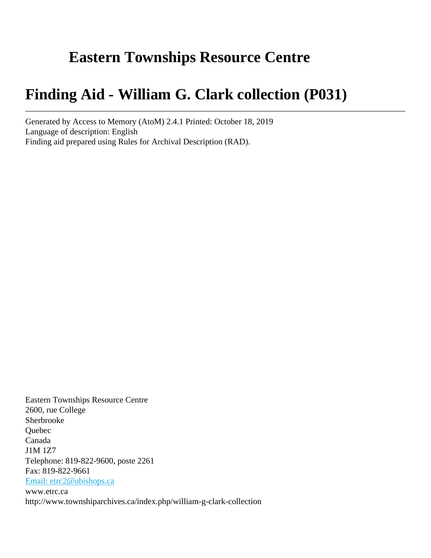# **Eastern Townships Resource Centre**

# **Finding Aid - William G. Clark collection (P031)**

Generated by Access to Memory (AtoM) 2.4.1 Printed: October 18, 2019 Language of description: English Finding aid prepared using Rules for Archival Description (RAD).

Eastern Townships Resource Centre 2600, rue College Sherbrooke Quebec Canada J1M 1Z7 Telephone: 819-822-9600, poste 2261 Fax: 819-822-9661 [Email: etrc2@ubishops.ca](mailto:Email: etrc2@ubishops.ca) www.etrc.ca http://www.townshiparchives.ca/index.php/william-g-clark-collection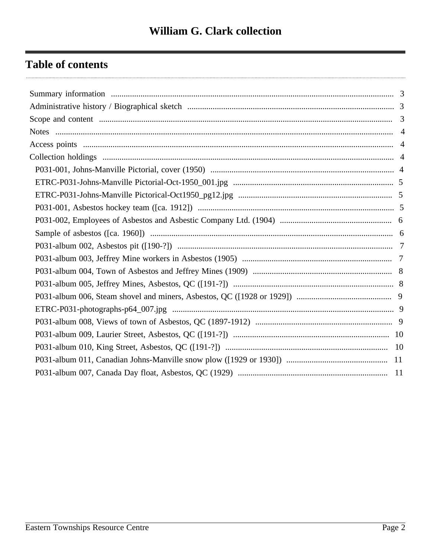# **Table of contents**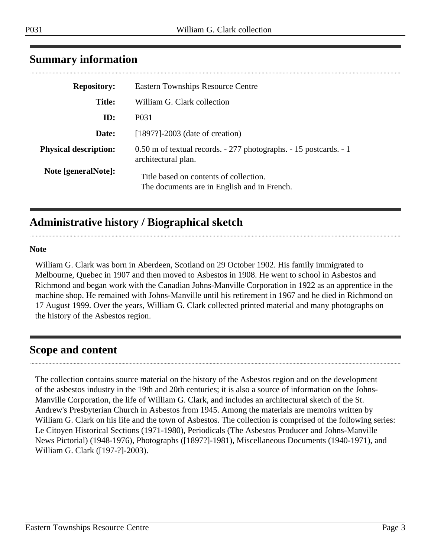|  | ×<br>۰, |  |
|--|---------|--|

| <b>Repository:</b>           | <b>Eastern Townships Resource Centre</b>                                                 |  |  |
|------------------------------|------------------------------------------------------------------------------------------|--|--|
| <b>Title:</b>                | William G. Clark collection                                                              |  |  |
| ID:                          | P <sub>0</sub> 31                                                                        |  |  |
| Date:                        | $[1897?]$ -2003 (date of creation)                                                       |  |  |
| <b>Physical description:</b> | 0.50 m of textual records. - 277 photographs. - 15 postcards. - 1<br>architectural plan. |  |  |
| Note [generalNote]:          | Title based on contents of collection.<br>The documents are in English and in French.    |  |  |

### <span id="page-2-0"></span>**Summary information**

## <span id="page-2-1"></span>**Administrative history / Biographical sketch**

#### **Note**

William G. Clark was born in Aberdeen, Scotland on 29 October 1902. His family immigrated to Melbourne, Quebec in 1907 and then moved to Asbestos in 1908. He went to school in Asbestos and Richmond and began work with the Canadian Johns-Manville Corporation in 1922 as an apprentice in the machine shop. He remained with Johns-Manville until his retirement in 1967 and he died in Richmond on 17 August 1999. Over the years, William G. Clark collected printed material and many photographs on the history of the Asbestos region.

#### <span id="page-2-2"></span>**Scope and content**

The collection contains source material on the history of the Asbestos region and on the development of the asbestos industry in the 19th and 20th centuries; it is also a source of information on the Johns-Manville Corporation, the life of William G. Clark, and includes an architectural sketch of the St. Andrew's Presbyterian Church in Asbestos from 1945. Among the materials are memoirs written by William G. Clark on his life and the town of Asbestos. The collection is comprised of the following series: Le Citoyen Historical Sections (1971-1980), Periodicals (The Asbestos Producer and Johns-Manville News Pictorial) (1948-1976), Photographs ([1897?]-1981), Miscellaneous Documents (1940-1971), and William G. Clark ([197-?]-2003).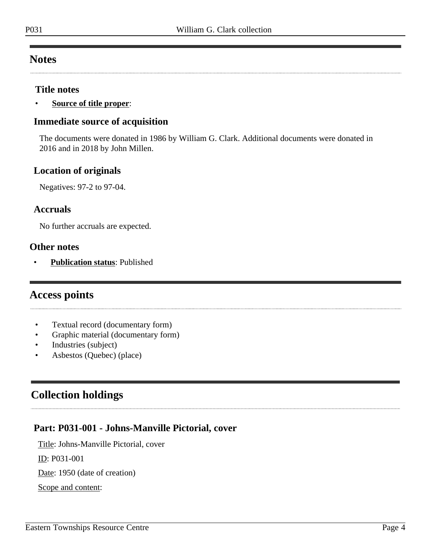### <span id="page-3-0"></span>**Notes**

#### **Title notes**

• **Source of title proper**:

#### **Immediate source of acquisition**

The documents were donated in 1986 by William G. Clark. Additional documents were donated in 2016 and in 2018 by John Millen.

#### **Location of originals**

Negatives: 97-2 to 97-04.

#### **Accruals**

No further accruals are expected.

#### **Other notes**

• **Publication status**: Published

#### <span id="page-3-1"></span>**Access points**

- Textual record (documentary form)
- Graphic material (documentary form)
- Industries (subject)
- Asbestos (Quebec) (place)

## <span id="page-3-2"></span>**Collection holdings**

#### <span id="page-3-3"></span>**Part: P031-001 - Johns-Manville Pictorial, cover**

Title: Johns-Manville Pictorial, cover

ID: P031-001

Date: 1950 (date of creation)

Scope and content: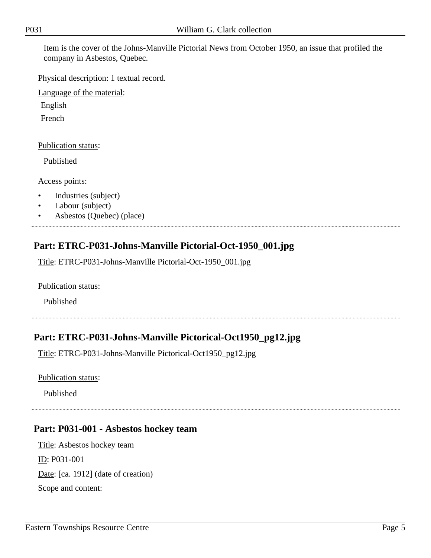Item is the cover of the Johns-Manville Pictorial News from October 1950, an issue that profiled the company in Asbestos, Quebec.

Physical description: 1 textual record.

Language of the material:

English

French

#### Publication status:

Published

Access points:

- Industries (subject)
- Labour (subject)
- Asbestos (Quebec) (place)

### <span id="page-4-0"></span>**Part: ETRC-P031-Johns-Manville Pictorial-Oct-1950\_001.jpg**

Title: ETRC-P031-Johns-Manville Pictorial-Oct-1950\_001.jpg

Publication status:

Published

### <span id="page-4-1"></span>**Part: ETRC-P031-Johns-Manville Pictorical-Oct1950\_pg12.jpg**

Title: ETRC-P031-Johns-Manville Pictorical-Oct1950\_pg12.jpg

Publication status:

Published

### <span id="page-4-2"></span>**Part: P031-001 - Asbestos hockey team**

Title: Asbestos hockey team ID: P031-001 Date: [ca. 1912] (date of creation) Scope and content: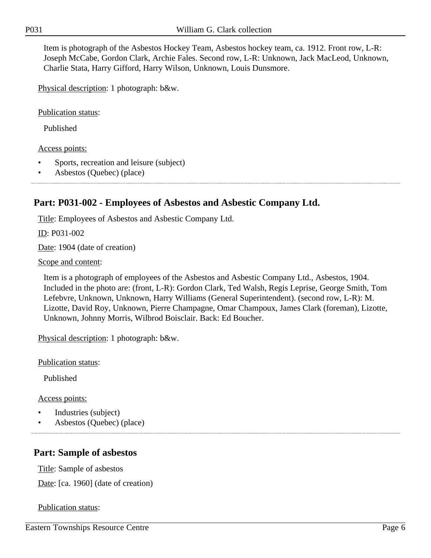Item is photograph of the Asbestos Hockey Team, Asbestos hockey team, ca. 1912. Front row, L-R: Joseph McCabe, Gordon Clark, Archie Fales. Second row, L-R: Unknown, Jack MacLeod, Unknown, Charlie Stata, Harry Gifford, Harry Wilson, Unknown, Louis Dunsmore.

Physical description: 1 photograph: b&w.

Publication status:

Published

#### Access points:

- Sports, recreation and leisure (subject)
- Asbestos (Quebec) (place)

### <span id="page-5-0"></span>**Part: P031-002 - Employees of Asbestos and Asbestic Company Ltd.**

Title: Employees of Asbestos and Asbestic Company Ltd.

ID: P031-002

Date: 1904 (date of creation)

Scope and content:

Item is a photograph of employees of the Asbestos and Asbestic Company Ltd., Asbestos, 1904. Included in the photo are: (front, L-R): Gordon Clark, Ted Walsh, Regis Leprise, George Smith, Tom Lefebvre, Unknown, Unknown, Harry Williams (General Superintendent). (second row, L-R): M. Lizotte, David Roy, Unknown, Pierre Champagne, Omar Champoux, James Clark (foreman), Lizotte, Unknown, Johnny Morris, Wilbrod Boisclair. Back: Ed Boucher.

Physical description: 1 photograph: b&w.

Publication status:

Published

Access points:

- Industries (subject)
- Asbestos (Quebec) (place)

#### <span id="page-5-1"></span>**Part: Sample of asbestos**

Title: Sample of asbestos

Date: [ca. 1960] (date of creation)

#### Publication status: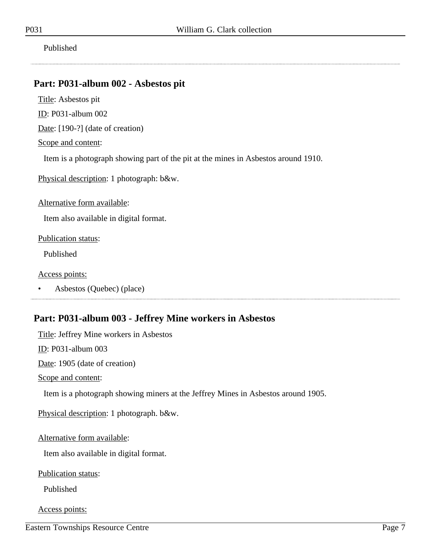Published

### <span id="page-6-0"></span>**Part: P031-album 002 - Asbestos pit**

Title: Asbestos pit

ID: P031-album 002

Date: [190-?] (date of creation)

Scope and content:

Item is a photograph showing part of the pit at the mines in Asbestos around 1910.

Physical description: 1 photograph: b&w.

Alternative form available:

Item also available in digital format.

Publication status:

Published

Access points:

• Asbestos (Quebec) (place)

### <span id="page-6-1"></span>**Part: P031-album 003 - Jeffrey Mine workers in Asbestos**

Title: Jeffrey Mine workers in Asbestos

ID: P031-album 003

Date: 1905 (date of creation)

Scope and content:

Item is a photograph showing miners at the Jeffrey Mines in Asbestos around 1905.

Physical description: 1 photograph. b&w.

Alternative form available:

Item also available in digital format.

Publication status:

Published

Access points:

Eastern Townships Resource Centre Page 7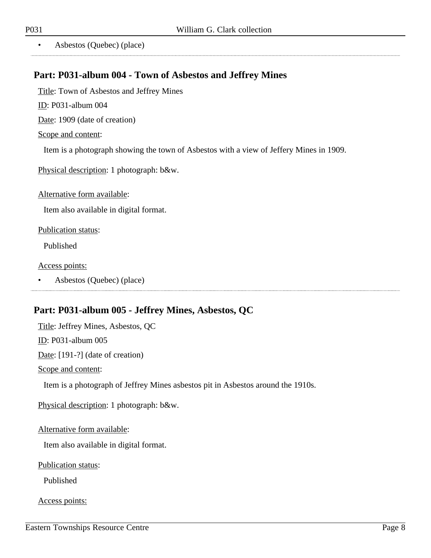• Asbestos (Quebec) (place)

#### <span id="page-7-0"></span>**Part: P031-album 004 - Town of Asbestos and Jeffrey Mines**

Title: Town of Asbestos and Jeffrey Mines

ID: P031-album 004

Date: 1909 (date of creation)

Scope and content:

Item is a photograph showing the town of Asbestos with a view of Jeffery Mines in 1909.

Physical description: 1 photograph: b&w.

Alternative form available:

Item also available in digital format.

Publication status:

Published

Access points:

• Asbestos (Quebec) (place)

#### <span id="page-7-1"></span>**Part: P031-album 005 - Jeffrey Mines, Asbestos, QC**

Title: Jeffrey Mines, Asbestos, QC

ID: P031-album 005

Date: [191-?] (date of creation)

Scope and content:

Item is a photograph of Jeffrey Mines asbestos pit in Asbestos around the 1910s.

Physical description: 1 photograph: b&w.

Alternative form available:

Item also available in digital format.

Publication status:

Published

Access points:

..............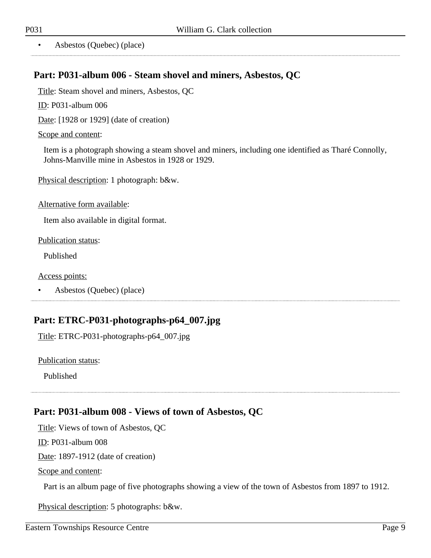• Asbestos (Quebec) (place)

### <span id="page-8-0"></span>**Part: P031-album 006 - Steam shovel and miners, Asbestos, QC**

Title: Steam shovel and miners, Asbestos, QC

ID: P031-album 006

Date: [1928 or 1929] (date of creation)

#### Scope and content:

Item is a photograph showing a steam shovel and miners, including one identified as Tharé Connolly, Johns-Manville mine in Asbestos in 1928 or 1929.

Physical description: 1 photograph: b&w.

Alternative form available:

Item also available in digital format.

Publication status:

Published

Access points:

• Asbestos (Quebec) (place)

#### <span id="page-8-1"></span>**Part: ETRC-P031-photographs-p64\_007.jpg**

Title: ETRC-P031-photographs-p64\_007.jpg

Publication status:

Published

#### <span id="page-8-2"></span>**Part: P031-album 008 - Views of town of Asbestos, QC**

Title: Views of town of Asbestos, QC

ID: P031-album 008

Date: 1897-1912 (date of creation)

Scope and content:

Part is an album page of five photographs showing a view of the town of Asbestos from 1897 to 1912.

Physical description: 5 photographs: b&w.

..............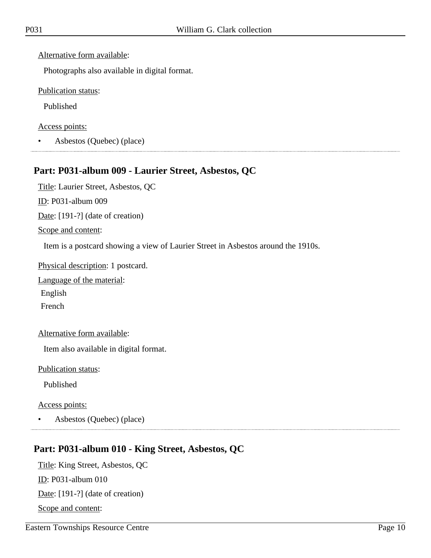Alternative form available:

Photographs also available in digital format.

Publication status:

Published

Access points:

• Asbestos (Quebec) (place)

#### <span id="page-9-0"></span>**Part: P031-album 009 - Laurier Street, Asbestos, QC**

Title: Laurier Street, Asbestos, QC

ID: P031-album 009

Date: [191-?] (date of creation)

Scope and content:

Item is a postcard showing a view of Laurier Street in Asbestos around the 1910s.

Physical description: 1 postcard.

Language of the material:

English

French

Alternative form available:

Item also available in digital format.

Publication status:

Published

Access points:

• Asbestos (Quebec) (place) 

#### <span id="page-9-1"></span>**Part: P031-album 010 - King Street, Asbestos, QC**

Title: King Street, Asbestos, QC ID: P031-album 010 Date: [191-?] (date of creation) Scope and content: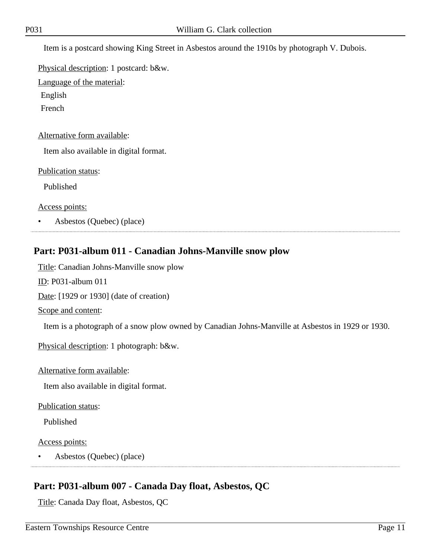Item is a postcard showing King Street in Asbestos around the 1910s by photograph V. Dubois.

Physical description: 1 postcard: b&w.

Language of the material:

English

French

Alternative form available:

Item also available in digital format.

Publication status:

Published

Access points:

• Asbestos (Quebec) (place)

### <span id="page-10-0"></span>**Part: P031-album 011 - Canadian Johns-Manville snow plow**

Title: Canadian Johns-Manville snow plow

ID: P031-album 011

Date: [1929 or 1930] (date of creation)

Scope and content:

Item is a photograph of a snow plow owned by Canadian Johns-Manville at Asbestos in 1929 or 1930.

Physical description: 1 photograph: b&w.

Alternative form available:

Item also available in digital format.

Publication status:

Published

Access points:

• Asbestos (Quebec) (place)

### <span id="page-10-1"></span>**Part: P031-album 007 - Canada Day float, Asbestos, QC**

Title: Canada Day float, Asbestos, QC